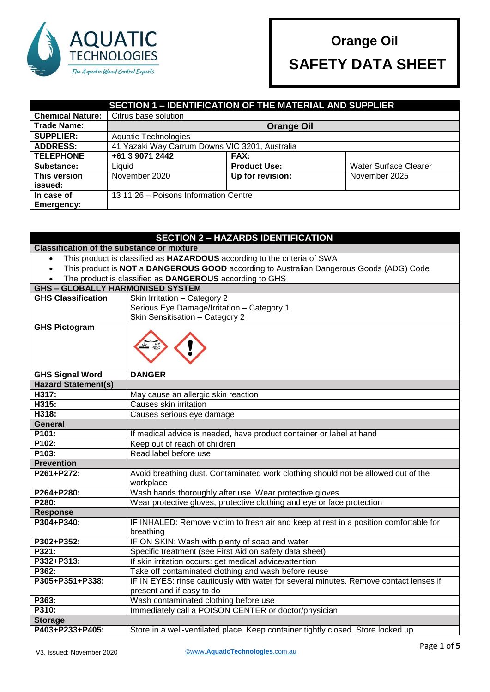

 **SAFETY DATA SHEET**

#### **SECTION 1 – IDENTIFICATION OF THE MATERIAL AND SUPPLIER Chemical Nature:** Citrus base solution **Trade Name: Orange Oil SUPPLIER:** | Aquatic Technologies **ADDRESS:** 41 Yazaki Way Carrum Downs VIC 3201, Australia **TELEPHONE +61 3 9071 2442 FAX: Substance:** Liquid Liquid **Product Use:** Water Surface Clearer **This version issued:** November 2020 **Up for revision:** November 2025 **In case of Emergency:** 13 11 26 – Poisons Information Centre

|                                                                                                      | <b>SECTION 2 - HAZARDS IDENTIFICATION</b>                                                      |
|------------------------------------------------------------------------------------------------------|------------------------------------------------------------------------------------------------|
| <b>Classification of the substance or mixture</b>                                                    |                                                                                                |
| This product is classified as HAZARDOUS according to the criteria of SWA                             |                                                                                                |
| This product is NOT a DANGEROUS GOOD according to Australian Dangerous Goods (ADG) Code<br>$\bullet$ |                                                                                                |
|                                                                                                      | The product is classified as DANGEROUS according to GHS                                        |
| <b>GHS - GLOBALLY HARMONISED SYSTEM</b>                                                              |                                                                                                |
| <b>GHS Classification</b>                                                                            | Skin Irritation - Category 2                                                                   |
|                                                                                                      | Serious Eye Damage/Irritation - Category 1                                                     |
|                                                                                                      | Skin Sensitisation - Category 2                                                                |
| <b>GHS Pictogram</b>                                                                                 |                                                                                                |
| <b>GHS Signal Word</b>                                                                               | <b>DANGER</b>                                                                                  |
| <b>Hazard Statement(s)</b>                                                                           |                                                                                                |
| H317:                                                                                                | May cause an allergic skin reaction                                                            |
| H315:                                                                                                | Causes skin irritation                                                                         |
| H318:                                                                                                | Causes serious eye damage                                                                      |
| <b>General</b>                                                                                       |                                                                                                |
| P101:                                                                                                | If medical advice is needed, have product container or label at hand                           |
| P102:                                                                                                | Keep out of reach of children                                                                  |
| P103:                                                                                                | Read label before use                                                                          |
| <b>Prevention</b>                                                                                    |                                                                                                |
| P261+P272:                                                                                           | Avoid breathing dust. Contaminated work clothing should not be allowed out of the<br>workplace |
| P264+P280:                                                                                           | Wash hands thoroughly after use. Wear protective gloves                                        |
| P280:                                                                                                | Wear protective gloves, protective clothing and eye or face protection                         |
| <b>Response</b>                                                                                      |                                                                                                |
| P304+P340:                                                                                           | IF INHALED: Remove victim to fresh air and keep at rest in a position comfortable for          |
|                                                                                                      | breathing                                                                                      |
| P302+P352:                                                                                           | IF ON SKIN: Wash with plenty of soap and water                                                 |
| P321:                                                                                                | Specific treatment (see First Aid on safety data sheet)                                        |
| P332+P313:                                                                                           | If skin irritation occurs: get medical advice/attention                                        |
| P362:                                                                                                | Take off contaminated clothing and wash before reuse                                           |
| P305+P351+P338:                                                                                      | IF IN EYES: rinse cautiously with water for several minutes. Remove contact lenses if          |
|                                                                                                      | present and if easy to do                                                                      |
| P363:                                                                                                | Wash contaminated clothing before use                                                          |
| P310:                                                                                                | Immediately call a POISON CENTER or doctor/physician                                           |
| <b>Storage</b>                                                                                       |                                                                                                |
| P403+P233+P405:                                                                                      | Store in a well-ventilated place. Keep container tightly closed. Store locked up               |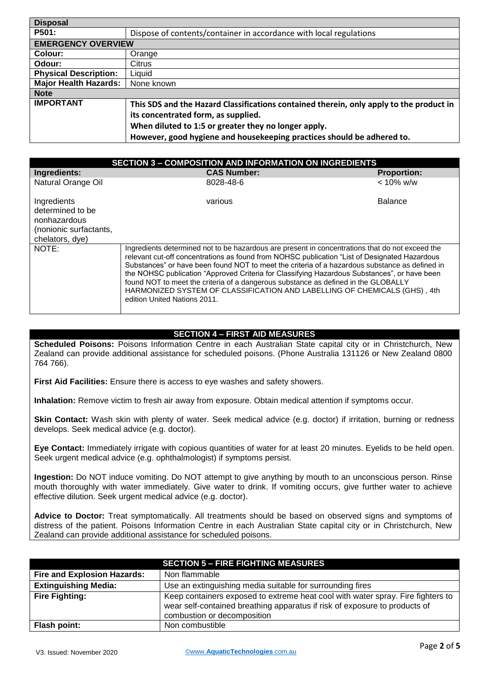| <b>Disposal</b>              |                                                                                         |
|------------------------------|-----------------------------------------------------------------------------------------|
| P501:                        | Dispose of contents/container in accordance with local regulations                      |
| <b>EMERGENCY OVERVIEW</b>    |                                                                                         |
| Colour:                      | Orange                                                                                  |
| Odour:                       | Citrus                                                                                  |
| <b>Physical Description:</b> | Liquid                                                                                  |
| <b>Major Health Hazards:</b> | None known                                                                              |
| <b>Note</b>                  |                                                                                         |
| <b>IMPORTANT</b>             | This SDS and the Hazard Classifications contained therein, only apply to the product in |
|                              | its concentrated form, as supplied.                                                     |
|                              | When diluted to 1:5 or greater they no longer apply.                                    |
|                              | However, good hygiene and housekeeping practices should be adhered to.                  |

|                                                                                              | <b>SECTION 3 - COMPOSITION AND INFORMATION ON INGREDIENTS</b>                                                                                                                                                                                                                                                                                                                                                                                                                                                                                                                                         |                    |
|----------------------------------------------------------------------------------------------|-------------------------------------------------------------------------------------------------------------------------------------------------------------------------------------------------------------------------------------------------------------------------------------------------------------------------------------------------------------------------------------------------------------------------------------------------------------------------------------------------------------------------------------------------------------------------------------------------------|--------------------|
| Ingredients:                                                                                 | <b>CAS Number:</b>                                                                                                                                                                                                                                                                                                                                                                                                                                                                                                                                                                                    | <b>Proportion:</b> |
| Natural Orange Oil                                                                           | 8028-48-6                                                                                                                                                                                                                                                                                                                                                                                                                                                                                                                                                                                             | $< 10\%$ w/w       |
| Ingredients<br>determined to be<br>nonhazardous<br>(nonionic surfactants,<br>chelators, dye) | various                                                                                                                                                                                                                                                                                                                                                                                                                                                                                                                                                                                               | <b>Balance</b>     |
| NOTE:                                                                                        | Ingredients determined not to be hazardous are present in concentrations that do not exceed the<br>relevant cut-off concentrations as found from NOHSC publication "List of Designated Hazardous<br>Substances" or have been found NOT to meet the criteria of a hazardous substance as defined in<br>the NOHSC publication "Approved Criteria for Classifying Hazardous Substances", or have been<br>found NOT to meet the criteria of a dangerous substance as defined in the GLOBALLY<br>HARMONIZED SYSTEM OF CLASSIFICATION AND LABELLING OF CHEMICALS (GHS), 4th<br>edition United Nations 2011. |                    |

## **SECTION 4 – FIRST AID MEASURES**

**Scheduled Poisons:** Poisons Information Centre in each Australian State capital city or in Christchurch, New Zealand can provide additional assistance for scheduled poisons. (Phone Australia 131126 or New Zealand 0800 764 766).

**First Aid Facilities:** Ensure there is access to eye washes and safety showers.

**Inhalation:** Remove victim to fresh air away from exposure. Obtain medical attention if symptoms occur.

**Skin Contact:** Wash skin with plenty of water. Seek medical advice (e.g. doctor) if irritation, burning or redness develops. Seek medical advice (e.g. doctor).

**Eye Contact:** Immediately irrigate with copious quantities of water for at least 20 minutes. Eyelids to be held open. Seek urgent medical advice (e.g. ophthalmologist) if symptoms persist.

**Ingestion:** Do NOT induce vomiting. Do NOT attempt to give anything by mouth to an unconscious person. Rinse mouth thoroughly with water immediately. Give water to drink. If vomiting occurs, give further water to achieve effective dilution. Seek urgent medical advice (e.g. doctor).

**Advice to Doctor:** Treat symptomatically. All treatments should be based on observed signs and symptoms of distress of the patient. Poisons Information Centre in each Australian State capital city or in Christchurch, New Zealand can provide additional assistance for scheduled poisons.

|                                    | <b>SECTION 5 – FIRE FIGHTING MEASURES</b>                                                                                                                                                    |
|------------------------------------|----------------------------------------------------------------------------------------------------------------------------------------------------------------------------------------------|
| <b>Fire and Explosion Hazards:</b> | Non flammable                                                                                                                                                                                |
| <b>Extinguishing Media:</b>        | Use an extinguishing media suitable for surrounding fires                                                                                                                                    |
| <b>Fire Fighting:</b>              | Keep containers exposed to extreme heat cool with water spray. Fire fighters to<br>wear self-contained breathing apparatus if risk of exposure to products of<br>combustion or decomposition |
| Flash point:                       | Non combustible                                                                                                                                                                              |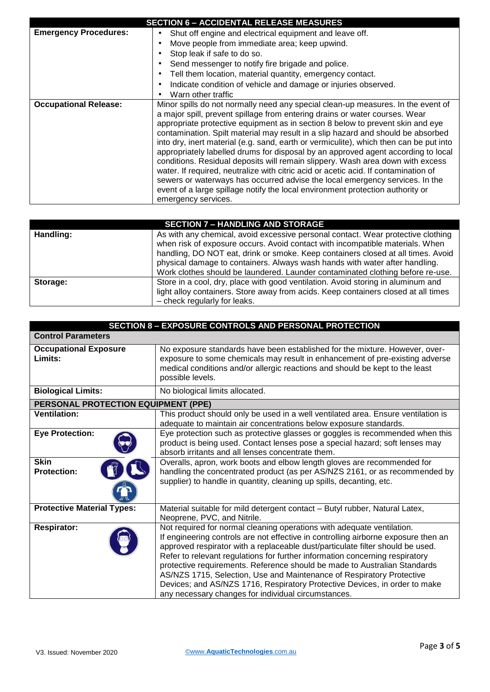|                              | <b>SECTION 6 - ACCIDENTAL RELEASE MEASURES</b>                                         |
|------------------------------|----------------------------------------------------------------------------------------|
| <b>Emergency Procedures:</b> | Shut off engine and electrical equipment and leave off.                                |
|                              | Move people from immediate area; keep upwind.                                          |
|                              | Stop leak if safe to do so.                                                            |
|                              | Send messenger to notify fire brigade and police.                                      |
|                              | Tell them location, material quantity, emergency contact.                              |
|                              | Indicate condition of vehicle and damage or injuries observed.                         |
|                              | Warn other traffic                                                                     |
| <b>Occupational Release:</b> | Minor spills do not normally need any special clean-up measures. In the event of       |
|                              | a major spill, prevent spillage from entering drains or water courses. Wear            |
|                              | appropriate protective equipment as in section 8 below to prevent skin and eye         |
|                              | contamination. Spilt material may result in a slip hazard and should be absorbed       |
|                              | into dry, inert material (e.g. sand, earth or vermiculite), which then can be put into |
|                              | appropriately labelled drums for disposal by an approved agent according to local      |
|                              | conditions. Residual deposits will remain slippery. Wash area down with excess         |
|                              | water. If required, neutralize with citric acid or acetic acid. If contamination of    |
|                              | sewers or waterways has occurred advise the local emergency services. In the           |
|                              | event of a large spillage notify the local environment protection authority or         |
|                              | emergency services.                                                                    |

| <b>SECTION 7 - HANDLING AND STORAGE</b> |                                                                                                                                                                                                                                                                                                                                                                                                                        |  |
|-----------------------------------------|------------------------------------------------------------------------------------------------------------------------------------------------------------------------------------------------------------------------------------------------------------------------------------------------------------------------------------------------------------------------------------------------------------------------|--|
| Handling:                               | As with any chemical, avoid excessive personal contact. Wear protective clothing<br>when risk of exposure occurs. Avoid contact with incompatible materials. When<br>handling, DO NOT eat, drink or smoke. Keep containers closed at all times. Avoid<br>physical damage to containers. Always wash hands with water after handling.<br>Work clothes should be laundered. Launder contaminated clothing before re-use. |  |
| Storage:                                | Store in a cool, dry, place with good ventilation. Avoid storing in aluminum and<br>light alloy containers. Store away from acids. Keep containers closed at all times<br>- check regularly for leaks.                                                                                                                                                                                                                 |  |

| <b>SECTION 8 - EXPOSURE CONTROLS AND PERSONAL PROTECTION</b> |                                                                                                                                                                                                                                                                                                                                                                                                                                                                                                                                                                                                                           |
|--------------------------------------------------------------|---------------------------------------------------------------------------------------------------------------------------------------------------------------------------------------------------------------------------------------------------------------------------------------------------------------------------------------------------------------------------------------------------------------------------------------------------------------------------------------------------------------------------------------------------------------------------------------------------------------------------|
| <b>Control Parameters</b>                                    |                                                                                                                                                                                                                                                                                                                                                                                                                                                                                                                                                                                                                           |
| <b>Occupational Exposure</b><br>Limits:                      | No exposure standards have been established for the mixture. However, over-<br>exposure to some chemicals may result in enhancement of pre-existing adverse<br>medical conditions and/or allergic reactions and should be kept to the least<br>possible levels.                                                                                                                                                                                                                                                                                                                                                           |
| <b>Biological Limits:</b>                                    | No biological limits allocated.                                                                                                                                                                                                                                                                                                                                                                                                                                                                                                                                                                                           |
| PERSONAL PROTECTION EQUIPMENT (PPE)                          |                                                                                                                                                                                                                                                                                                                                                                                                                                                                                                                                                                                                                           |
| <b>Ventilation:</b>                                          | This product should only be used in a well ventilated area. Ensure ventilation is<br>adequate to maintain air concentrations below exposure standards.                                                                                                                                                                                                                                                                                                                                                                                                                                                                    |
| <b>Eye Protection:</b>                                       | Eye protection such as protective glasses or goggles is recommended when this<br>product is being used. Contact lenses pose a special hazard; soft lenses may<br>absorb irritants and all lenses concentrate them.                                                                                                                                                                                                                                                                                                                                                                                                        |
| <b>Skin</b><br><b>Protection:</b>                            | Overalls, apron, work boots and elbow length gloves are recommended for<br>handling the concentrated product (as per AS/NZS 2161, or as recommended by<br>supplier) to handle in quantity, cleaning up spills, decanting, etc.                                                                                                                                                                                                                                                                                                                                                                                            |
| <b>Protective Material Types:</b>                            | Material suitable for mild detergent contact - Butyl rubber, Natural Latex,<br>Neoprene, PVC, and Nitrile.                                                                                                                                                                                                                                                                                                                                                                                                                                                                                                                |
| <b>Respirator:</b>                                           | Not required for normal cleaning operations with adequate ventilation.<br>If engineering controls are not effective in controlling airborne exposure then an<br>approved respirator with a replaceable dust/particulate filter should be used.<br>Refer to relevant regulations for further information concerning respiratory<br>protective requirements. Reference should be made to Australian Standards<br>AS/NZS 1715, Selection, Use and Maintenance of Respiratory Protective<br>Devices; and AS/NZS 1716, Respiratory Protective Devices, in order to make<br>any necessary changes for individual circumstances. |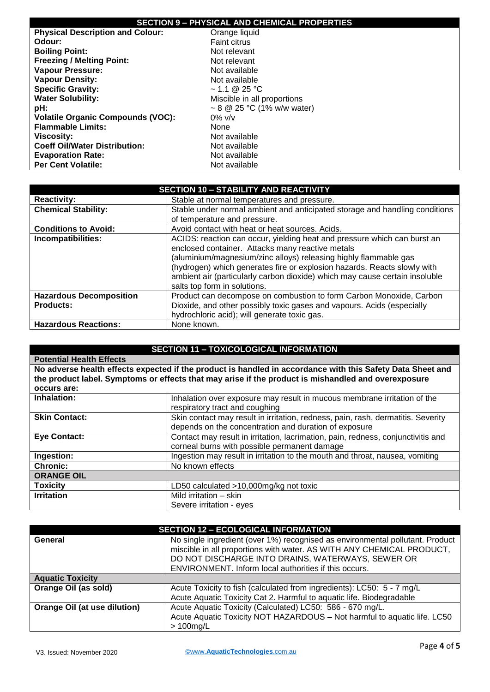# **SECTION 9 – PHYSICAL AND CHEMICAL PROPERTIES**

|                                          | SECTION 3 - FRI SIGAL AND CHEMICAL FROFER HES |
|------------------------------------------|-----------------------------------------------|
| <b>Physical Description and Colour:</b>  | Orange liquid                                 |
| Odour:                                   | <b>Faint citrus</b>                           |
| <b>Boiling Point:</b>                    | Not relevant                                  |
| <b>Freezing / Melting Point:</b>         | Not relevant                                  |
| <b>Vapour Pressure:</b>                  | Not available                                 |
| <b>Vapour Density:</b>                   | Not available                                 |
| <b>Specific Gravity:</b>                 | $\sim$ 1.1 @ 25 °C                            |
| <b>Water Solubility:</b>                 | Miscible in all proportions                   |
| pH:                                      | ~ 8 @ 25 °C (1% w/w water)                    |
| <b>Volatile Organic Compounds (VOC):</b> | $0\%$ v/v                                     |
| <b>Flammable Limits:</b>                 | None                                          |
| Viscosity:                               | Not available                                 |
| <b>Coeff Oil/Water Distribution:</b>     | Not available                                 |
| <b>Evaporation Rate:</b>                 | Not available                                 |
| <b>Per Cent Volatile:</b>                | Not available                                 |

| <b>SECTION 10 - STABILITY AND REACTIVITY</b> |                                                                             |
|----------------------------------------------|-----------------------------------------------------------------------------|
| <b>Reactivity:</b>                           | Stable at normal temperatures and pressure.                                 |
| <b>Chemical Stability:</b>                   | Stable under normal ambient and anticipated storage and handling conditions |
|                                              | of temperature and pressure.                                                |
| <b>Conditions to Avoid:</b>                  | Avoid contact with heat or heat sources. Acids.                             |
| Incompatibilities:                           | ACIDS: reaction can occur, yielding heat and pressure which can burst an    |
|                                              | enclosed container. Attacks many reactive metals                            |
|                                              | (aluminium/magnesium/zinc alloys) releasing highly flammable gas            |
|                                              | (hydrogen) which generates fire or explosion hazards. Reacts slowly with    |
|                                              | ambient air (particularly carbon dioxide) which may cause certain insoluble |
|                                              | salts top form in solutions.                                                |
| <b>Hazardous Decomposition</b>               | Product can decompose on combustion to form Carbon Monoxide, Carbon         |
| <b>Products:</b>                             | Dioxide, and other possibly toxic gases and vapours. Acids (especially      |
|                                              | hydrochloric acid); will generate toxic gas.                                |
| <b>Hazardous Reactions:</b>                  | None known.                                                                 |

# **SECTION 11 – TOXICOLOGICAL INFORMATION**

| <b>Potential Health Effects</b> |                                                                                                            |
|---------------------------------|------------------------------------------------------------------------------------------------------------|
|                                 | No adverse health effects expected if the product is handled in accordance with this Safety Data Sheet and |
|                                 | the product label. Symptoms or effects that may arise if the product is mishandled and overexposure        |
| occurs are:                     |                                                                                                            |
| Inhalation:                     | Inhalation over exposure may result in mucous membrane irritation of the                                   |
|                                 | respiratory tract and coughing                                                                             |
| <b>Skin Contact:</b>            | Skin contact may result in irritation, redness, pain, rash, dermatitis. Severity                           |
|                                 | depends on the concentration and duration of exposure                                                      |
| <b>Eye Contact:</b>             | Contact may result in irritation, lacrimation, pain, redness, conjunctivitis and                           |
|                                 | corneal burns with possible permanent damage                                                               |
| Ingestion:                      | Ingestion may result in irritation to the mouth and throat, nausea, vomiting                               |
| <b>Chronic:</b>                 | No known effects                                                                                           |
| <b>ORANGE OIL</b>               |                                                                                                            |
| <b>Toxicity</b>                 | LD50 calculated >10,000mg/kg not toxic                                                                     |
| <b>Irritation</b>               | Mild irritation - skin                                                                                     |
|                                 | Severe irritation - eyes                                                                                   |

| <b>SECTION 12 - ECOLOGICAL INFORMATION</b> |                                                                               |
|--------------------------------------------|-------------------------------------------------------------------------------|
| General                                    | No single ingredient (over 1%) recognised as environmental pollutant. Product |
|                                            | miscible in all proportions with water. AS WITH ANY CHEMICAL PRODUCT,         |
|                                            | DO NOT DISCHARGE INTO DRAINS, WATERWAYS, SEWER OR                             |
|                                            | ENVIRONMENT. Inform local authorities if this occurs.                         |
| <b>Aquatic Toxicity</b>                    |                                                                               |
| Orange Oil (as sold)                       | Acute Toxicity to fish (calculated from ingredients): LC50: 5 - 7 mg/L        |
|                                            | Acute Aquatic Toxicity Cat 2. Harmful to aquatic life. Biodegradable          |
| Orange Oil (at use dilution)               | Acute Aquatic Toxicity (Calculated) LC50: 586 - 670 mg/L.                     |
|                                            | Acute Aquatic Toxicity NOT HAZARDOUS - Not harmful to aquatic life. LC50      |
|                                            | $>100$ mg/L                                                                   |